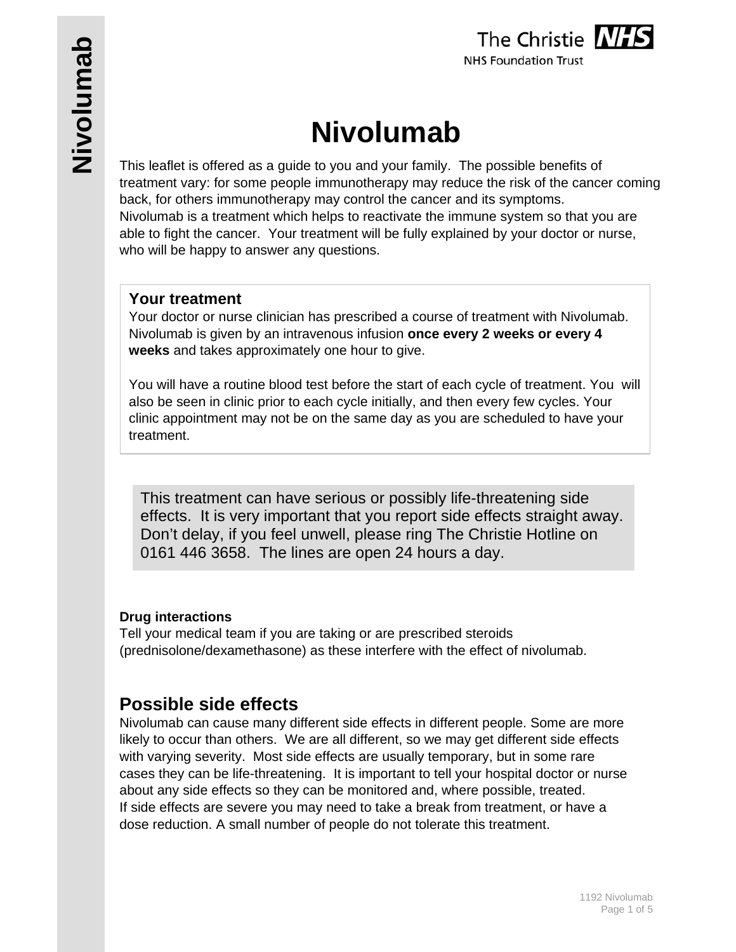

# **Nivolumab**

This leaflet is offered as a guide to you and your family. The possible benefits of treatment vary: for some people immunotherapy may reduce the risk of the cancer coming back, for others immunotherapy may control the cancer and its symptoms. Nivolumab is a treatment which helps to reactivate the immune system so that you are able to fight the cancer. Your treatment will be fully explained by your doctor or nurse, who will be happy to answer any questions.

# **Your treatment**

Your doctor or nurse clinician has prescribed a course of treatment with Nivolumab. Nivolumab is given by an intravenous infusion **once every 2 weeks or every 4 weeks** and takes approximately one hour to give.

You will have a routine blood test before the start of each cycle of treatment. You will also be seen in clinic prior to each cycle initially, and then every few cycles. Your clinic appointment may not be on the same day as you are scheduled to have your treatment.

This treatment can have serious or possibly life-threatening side effects. It is very important that you report side effects straight away. Don't delay, if you feel unwell, please ring The Christie Hotline on 0161 446 3658. The lines are open 24 hours a day.

# **Drug interactions**

Tell your medical team if you are taking or are prescribed steroids (prednisolone/dexamethasone) as these interfere with the effect of nivolumab.

# **Possible side effects**

Nivolumab can cause many different side effects in different people. Some are more likely to occur than others. We are all different, so we may get different side effects with varying severity. Most side effects are usually temporary, but in some rare cases they can be life-threatening. It is important to tell your hospital doctor or nurse about any side effects so they can be monitored and, where possible, treated. If side effects are severe you may need to take a break from treatment, or have a dose reduction. A small number of people do not tolerate this treatment.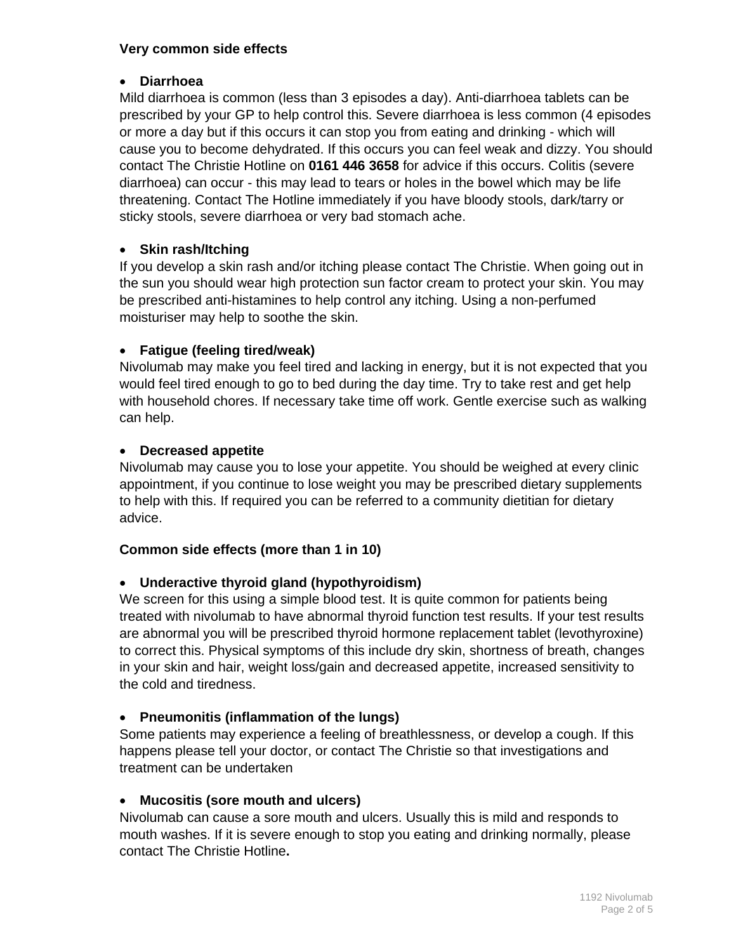#### **Very common side effects**

#### **Diarrhoea**

Mild diarrhoea is common (less than 3 episodes a day). Anti-diarrhoea tablets can be prescribed by your GP to help control this. Severe diarrhoea is less common (4 episodes or more a day but if this occurs it can stop you from eating and drinking - which will cause you to become dehydrated. If this occurs you can feel weak and dizzy. You should contact The Christie Hotline on **0161 446 3658** for advice if this occurs. Colitis (severe diarrhoea) can occur - this may lead to tears or holes in the bowel which may be life threatening. Contact The Hotline immediately if you have bloody stools, dark/tarry or sticky stools, severe diarrhoea or very bad stomach ache.

# **Skin rash/Itching**

If you develop a skin rash and/or itching please contact The Christie. When going out in the sun you should wear high protection sun factor cream to protect your skin. You may be prescribed anti-histamines to help control any itching. Using a non-perfumed moisturiser may help to soothe the skin.

# **Fatigue (feeling tired/weak)**

Nivolumab may make you feel tired and lacking in energy, but it is not expected that you would feel tired enough to go to bed during the day time. Try to take rest and get help with household chores. If necessary take time off work. Gentle exercise such as walking can help.

# **Decreased appetite**

Nivolumab may cause you to lose your appetite. You should be weighed at every clinic appointment, if you continue to lose weight you may be prescribed dietary supplements to help with this. If required you can be referred to a community dietitian for dietary advice.

# **Common side effects (more than 1 in 10)**

# **Underactive thyroid gland (hypothyroidism)**

We screen for this using a simple blood test. It is quite common for patients being treated with nivolumab to have abnormal thyroid function test results. If your test results are abnormal you will be prescribed thyroid hormone replacement tablet (levothyroxine) to correct this. Physical symptoms of this include dry skin, shortness of breath, changes in your skin and hair, weight loss/gain and decreased appetite, increased sensitivity to the cold and tiredness.

# **Pneumonitis (inflammation of the lungs)**

Some patients may experience a feeling of breathlessness, or develop a cough. If this happens please tell your doctor, or contact The Christie so that investigations and treatment can be undertaken

# **Mucositis (sore mouth and ulcers)**

Nivolumab can cause a sore mouth and ulcers. Usually this is mild and responds to mouth washes. If it is severe enough to stop you eating and drinking normally, please contact The Christie Hotline**.**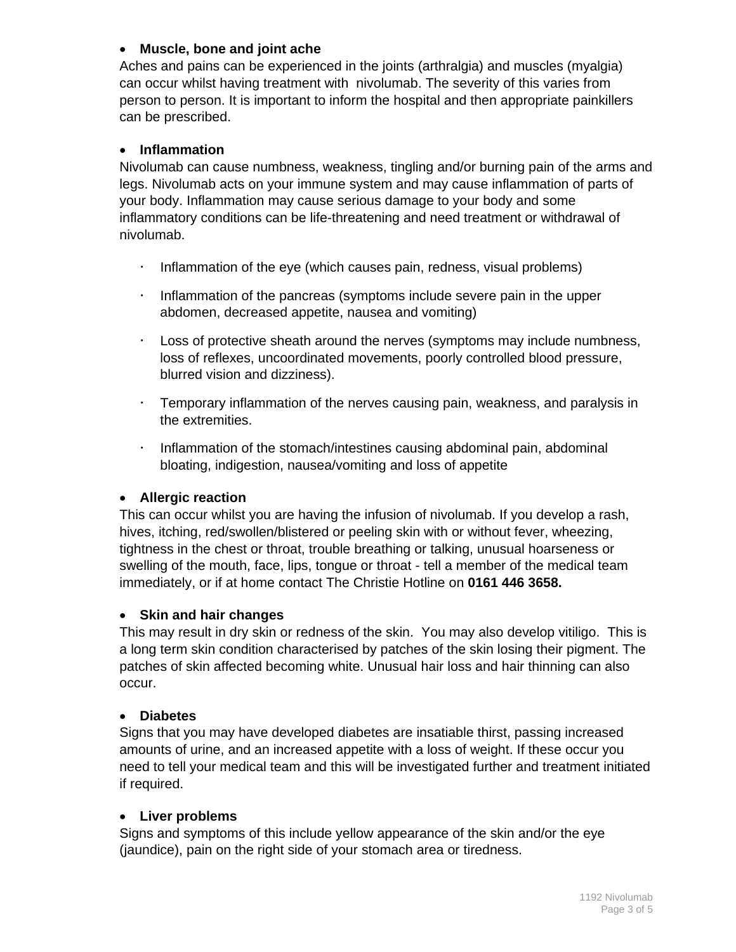#### **Muscle, bone and joint ache**

Aches and pains can be experienced in the joints (arthralgia) and muscles (myalgia) can occur whilst having treatment with nivolumab. The severity of this varies from person to person. It is important to inform the hospital and then appropriate painkillers can be prescribed.

#### **Inflammation**

Nivolumab can cause numbness, weakness, tingling and/or burning pain of the arms and legs. Nivolumab acts on your immune system and may cause inflammation of parts of your body. Inflammation may cause serious damage to your body and some inflammatory conditions can be life-threatening and need treatment or withdrawal of nivolumab.

- $\cdot$  Inflammation of the eye (which causes pain, redness, visual problems)
- $\cdot$  Inflammation of the pancreas (symptoms include severe pain in the upper abdomen, decreased appetite, nausea and vomiting)
- Loss of protective sheath around the nerves (symptoms may include numbness, loss of reflexes, uncoordinated movements, poorly controlled blood pressure, blurred vision and dizziness).
- Temporary inflammation of the nerves causing pain, weakness, and paralysis in the extremities.
- $\cdot$  Inflammation of the stomach/intestines causing abdominal pain, abdominal bloating, indigestion, nausea/vomiting and loss of appetite

#### **Allergic reaction**

This can occur whilst you are having the infusion of nivolumab. If you develop a rash, hives, itching, red/swollen/blistered or peeling skin with or without fever, wheezing, tightness in the chest or throat, trouble breathing or talking, unusual hoarseness or swelling of the mouth, face, lips, tongue or throat - tell a member of the medical team immediately, or if at home contact The Christie Hotline on **0161 446 3658.**

#### **Skin and hair changes**

This may result in dry skin or redness of the skin. You may also develop vitiligo. This is a long term skin condition characterised by patches of the skin losing their pigment. The patches of skin affected becoming white. Unusual hair loss and hair thinning can also occur.

#### **Diabetes**

Signs that you may have developed diabetes are insatiable thirst, passing increased amounts of urine, and an increased appetite with a loss of weight. If these occur you need to tell your medical team and this will be investigated further and treatment initiated if required.

#### **Liver problems**

Signs and symptoms of this include yellow appearance of the skin and/or the eye (jaundice), pain on the right side of your stomach area or tiredness.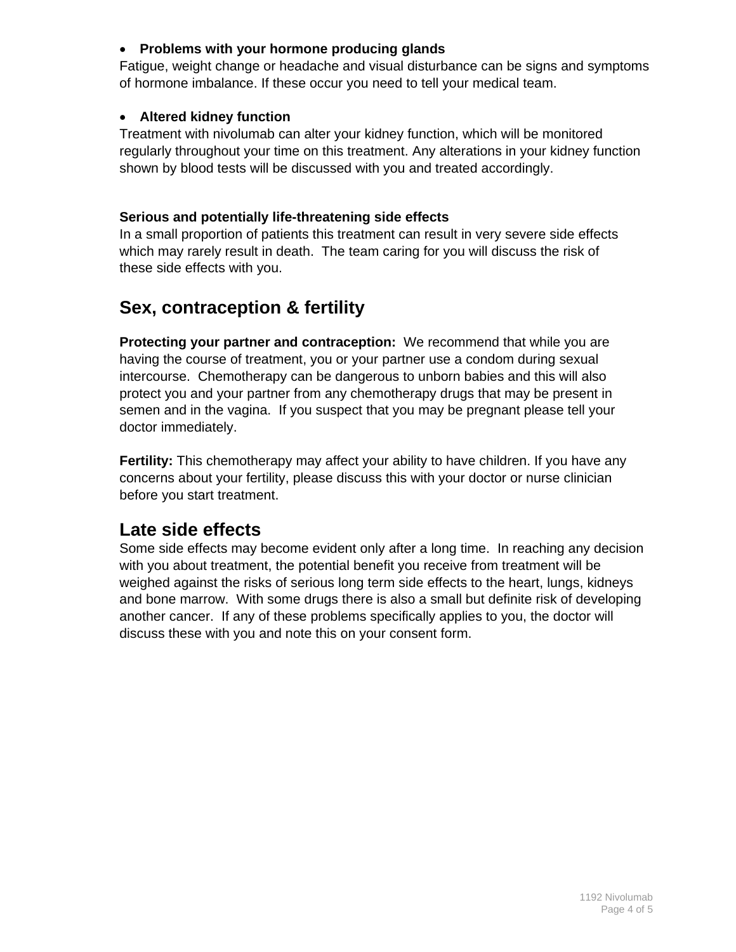# **Problems with your hormone producing glands**

Fatigue, weight change or headache and visual disturbance can be signs and symptoms of hormone imbalance. If these occur you need to tell your medical team.

# **Altered kidney function**

Treatment with nivolumab can alter your kidney function, which will be monitored regularly throughout your time on this treatment. Any alterations in your kidney function shown by blood tests will be discussed with you and treated accordingly.

# **Serious and potentially life-threatening side effects**

In a small proportion of patients this treatment can result in very severe side effects which may rarely result in death. The team caring for you will discuss the risk of these side effects with you.

# **Sex, contraception & fertility**

**Protecting your partner and contraception:** We recommend that while you are having the course of treatment, you or your partner use a condom during sexual intercourse. Chemotherapy can be dangerous to unborn babies and this will also protect you and your partner from any chemotherapy drugs that may be present in semen and in the vagina. If you suspect that you may be pregnant please tell your doctor immediately.

**Fertility:** This chemotherapy may affect your ability to have children. If you have any concerns about your fertility, please discuss this with your doctor or nurse clinician before you start treatment.

# **Late side effects**

Some side effects may become evident only after a long time. In reaching any decision with you about treatment, the potential benefit you receive from treatment will be weighed against the risks of serious long term side effects to the heart, lungs, kidneys and bone marrow. With some drugs there is also a small but definite risk of developing another cancer. If any of these problems specifically applies to you, the doctor will discuss these with you and note this on your consent form.